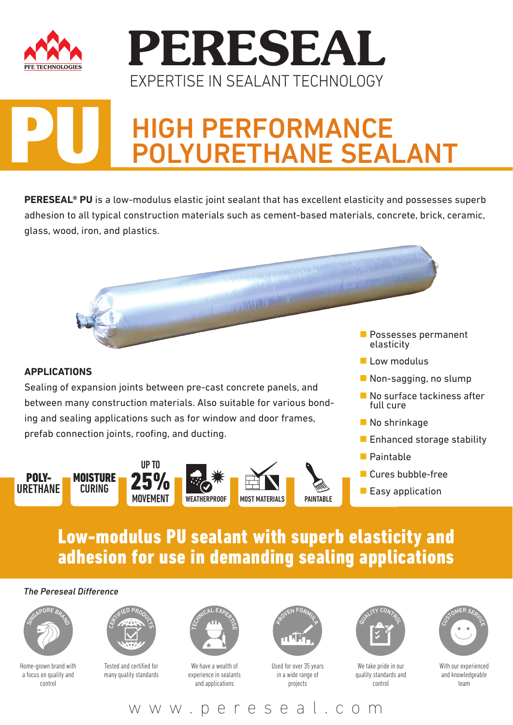



# HIGH PERFORMANCE POLYURETHANE SEALANT PU

**PERESEAL® PU** is a low-modulus elastic joint sealant that has excellent elasticity and possesses superb adhesion to all typical construction materials such as cement-based materials, concrete, brick, ceramic, glass, wood, iron, and plastics.

#### **APPLICATIONS**

Sealing of expansion joints between pre-cast concrete panels, and between many construction materials. Also suitable for various bonding and sealing applications such as for window and door frames, prefab connection joints, roofing, and ducting.

25% MOVEMENT POLY-URETHANE **MOISTURE CURING** UP TO PAINTARI F WEATHERPROOF MOST MATERIALS

- **Possesses permanent** elasticity
- **Low modulus**
- Non-sagging, no slump
- No surface tackiness after full cure
- No shrinkage
- **Enhanced storage stability**
- **Paintable**
- Cures bubble-free
- **Easy application**

### Low-modulus PU sealant with superb elasticity and adhesion for use in demanding sealing applications

#### *The Pereseal Difference*



Home-grown brand with a focus on quality and control



Tested and certified for many quality standards



We have a wealth of experience in sealants and applications



Used for over 35 years in a wide range of projects



We take pride in our quality standards and control



With our experienced and knowledgeable team

www.pereseal.com